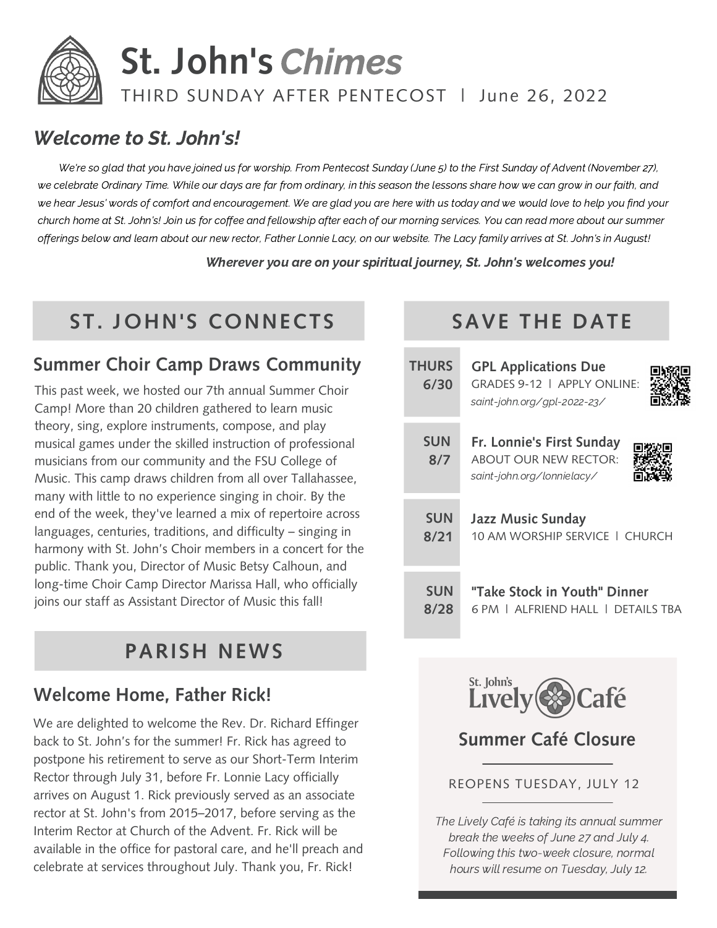

# **St. John's** Chimes

## THIRD SUNDAY AFTER PENTECOST | June 26, 2022

# Welcome to St. John's!

We're so glad that you have joined us for worship. From Pentecost Sunday (June 5) to the First Sunday of Advent (November 27), we celebrate Ordinary Time. While our days are far from ordinary, in this season the lessons share how we can grow in our faith, and we hear Jesus' words of comfort and encouragement. We are glad you are here with us today and we would love to help you find your church home at St. John's! Join us for coffee and fellowship after each of our morning services. You can read more about our summer offerings below and learn about our new rector, Father Lonnie Lacy, on our website. The Lacy family arrives at St. John's in August!

Wherever you are on your spiritual journey, St. John's welcomes you!

# **ST. JOHN'S CONNECTS SAVE THE DATE**

# **Summer Choir Camp Draws Community**

This past week, we hosted our 7th annual Summer Choir Camp! More than 20 children gathered to learn music theory, sing, explore instruments, compose, and play musical games under the skilled instruction of professional musicians from our community and the FSU College of Music. This camp draws children from all over Tallahassee, many with little to no experience singing in choir. By the end of the week, they've learned a mix of repertoire across languages, centuries, traditions, and difficulty – singing in harmony with St. John's Choir members in a concert for the public. Thank you, Director of Music Betsy Calhoun, and long-time Choir Camp Director Marissa Hall, who officially joins our staff as Assistant Director of Music this fall!

# **PARISH NEWS**

# **Welcome Home, Father Rick!**

We are delighted to welcome the Rev. Dr. Richard Effinger back to St. John's for the summer! Fr. Rick has agreed to postpone his retirement to serve as our Short-Term Interim Rector through July 31, before Fr. Lonnie Lacy officially arrives on August 1. Rick previously served as an associate rector at St. John's from 2015–2017, before serving as the Interim Rector at Church of the Advent. Fr. Rick will be available in the office for pastoral care, and he'll preach and celebrate at services throughout July. Thank you, Fr. Rick!

| <b>THURS</b><br>6/30 | <b>GPL Applications Due</b><br>GRADES 9-12 $\perp$ APPI Y ONLINE:<br>saint-john.org/gpl-2022-23/ |
|----------------------|--------------------------------------------------------------------------------------------------|
| <b>SUN</b><br>8/7    | Fr. Lonnie's First Sunday<br><b>ABOUT OUR NEW RECTOR:</b><br>saint-john.org/lonnielacy/          |
| <b>SUN</b>           | <b>Jazz Music Sunday</b>                                                                         |
| 8/21                 | 10 AM WORSHIP SERVICE   CHURCH                                                                   |
| <b>SUN</b>           | "Take Stock in Youth" Dinner                                                                     |
| 8/28                 | 6 PM L ALFRIEND HALL L DETAILS TRA                                                               |



## **Summer Café Closure**

#### REOPENS TUESDAY, JULY 12

The Lively Café is taking its annual summer break the weeks of June 27 and July 4. Following this two-week closure, normal hours will resume on Tuesday, July 12.